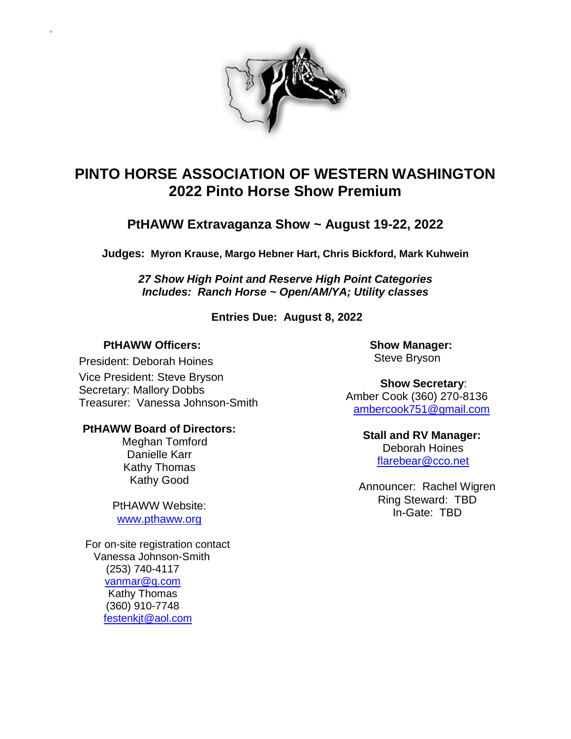

# **PINTO HORSE ASSOCIATION OF WESTERN WASHINGTON 2022 Pinto Horse Show Premium**

### **PtHAWW Extravaganza Show ~ August 19-22, 2022**

**Judges: Myron Krause, Margo Hebner Hart, Chris Bickford, Mark Kuhwein**

*27 Show High Point and Reserve High Point Categories Includes: Ranch Horse ~ Open/AM/YA; Utility classes*

**Entries Due: August 8, 2022**

### **PtHAWW Officers:**

33

President: Deborah Hoines Vice President: Steve Bryson Secretary: Mallory Dobbs Treasurer: Vanessa Johnson-Smith

#### **PtHAWW Board of Directors:**

Meghan Tomford Danielle Karr Kathy Thomas Kathy Good

PtHAWW Website: [www.pthaww.org](http://www.pthaww.org/)

 For on-site registration contact Vanessa Johnson-Smith (253) 740-4117 [vanmar@q.com](mailto:vanmar@q.com) Kathy Thomas (360) 910-7748 [festenkjt@aol.com](mailto:festenkjt@aol.com)

**Show Manager:** Steve Bryson

**Show Secretary**: Amber Cook (360) 270-8136 [ambercook751@gmail.com](mailto:ambercook751@gmail.com)

### **Stall and RV Manager:**

Deborah Hoines [flarebear@cco.net](mailto:flarebear@cco.net)

Announcer: Rachel Wigren Ring Steward: TBD In-Gate: TBD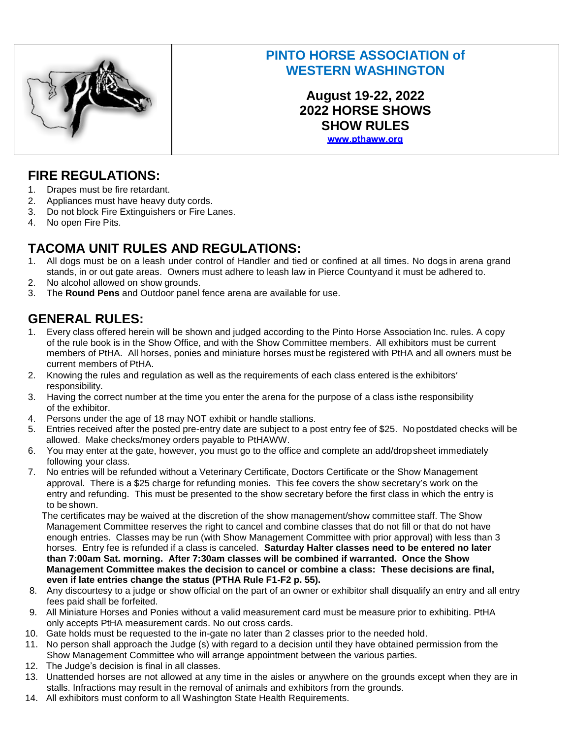

# **PINTO HORSE ASSOCIATION of WESTERN WASHINGTON**

**August 19-22, 2022 2022 HORSE SHOWS SHOW RULES**www.pthaww.org

## **FIRE REGULATIONS:**

- 1. Drapes must be fire retardant.
- 2. Appliances must have heavy duty cords.
- 3. Do not block Fire Extinguishers or Fire Lanes.
- 4. No open Fire Pits.

# **TACOMA UNIT RULES AND REGULATIONS:**

- 1. All dogs must be on a leash under control of Handler and tied or confined at all times. No dogs in arena grand stands, in or out gate areas. Owners must adhere to leash law in Pierce Countyand it must be adhered to.
- 2. No alcohol allowed on show grounds.
- 3. The **Round Pens** and Outdoor panel fence arena are available for use.

# **GENERAL RULES:**

- 1. Every class offered herein will be shown and judged according to the Pinto Horse Association Inc. rules. A copy of the rule book is in the Show Office, and with the Show Committee members. All exhibitors must be current members of PtHA. All horses, ponies and miniature horses must be registered with PtHA and all owners must be current members of PtHA.
- 2. Knowing the rules and regulation as well as the requirements of each class entered is the exhibitors' responsibility.
- 3. Having the correct number at the time you enter the arena for the purpose of a class isthe responsibility of the exhibitor.
- 4. Persons under the age of 18 may NOT exhibit or handle stallions.
- 5. Entries received after the posted pre-entry date are subject to a post entry fee of \$25. No postdated checks will be allowed. Make checks/money orders payable to PtHAWW.
- 6. You may enter at the gate, however, you must go to the office and complete an add/dropsheet immediately following your class.
- 7. No entries will be refunded without a Veterinary Certificate, Doctors Certificate or the Show Management approval. There is a \$25 charge for refunding monies. This fee covers the show secretary's work on the entry and refunding. This must be presented to the show secretary before the first class in which the entry is to be shown.

The certificates may be waived at the discretion of the show management/show committee staff. The Show Management Committee reserves the right to cancel and combine classes that do not fill or that do not have enough entries. Classes may be run (with Show Management Committee with prior approval) with less than 3 horses. Entry fee is refunded if a class is canceled. **Saturday Halter classes need to be entered no later than 7:00am Sat. morning. After 7:30am classes will be combined if warranted. Once the Show Management Committee makes the decision to cancel or combine a class: These decisions are final, even if late entries change the status (PTHA Rule F1-F2 p. 55).**

- 8. Any discourtesy to a judge or show official on the part of an owner or exhibitor shall disqualify an entry and all entry fees paid shall be forfeited.
- 9. All Miniature Horses and Ponies without a valid measurement card must be measure prior to exhibiting. PtHA only accepts PtHA measurement cards. No out cross cards.
- 10. Gate holds must be requested to the in-gate no later than 2 classes prior to the needed hold.
- 11. No person shall approach the Judge (s) with regard to a decision until they have obtained permission from the Show Management Committee who will arrange appointment between the various parties.
- 12. The Judge's decision is final in all classes.
- 13. Unattended horses are not allowed at any time in the aisles or anywhere on the grounds except when they are in stalls. Infractions may result in the removal of animals and exhibitors from the grounds.
- 14. All exhibitors must conform to all Washington State Health Requirements.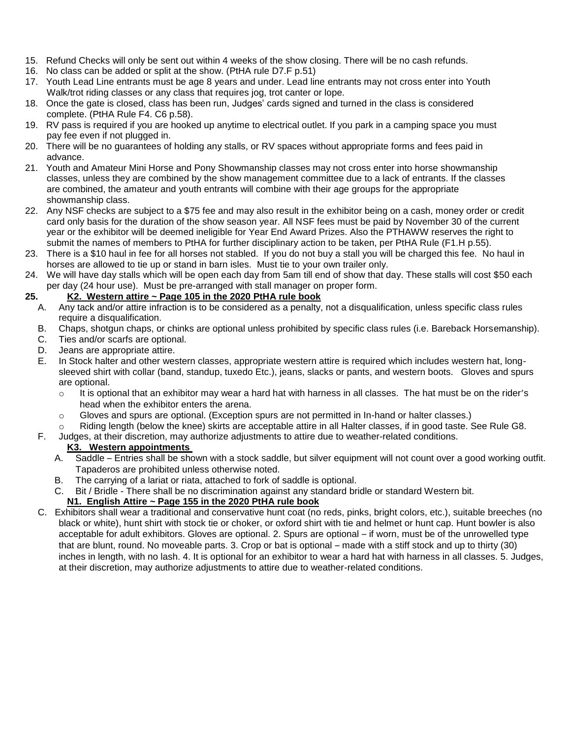- 15. Refund Checks will only be sent out within 4 weeks of the show closing. There will be no cash refunds.
- 16. No class can be added or split at the show. (PtHA rule D7.F p.51)
- 17. Youth Lead Line entrants must be age 8 years and under. Lead line entrants may not cross enter into Youth Walk/trot riding classes or any class that requires jog, trot canter or lope.
- 18. Once the gate is closed, class has been run, Judges' cards signed and turned in the class is considered complete. (PtHA Rule F4. C6 p.58).
- 19. RV pass is required if you are hooked up anytime to electrical outlet. If you park in a camping space you must pay fee even if not plugged in.
- 20. There will be no guarantees of holding any stalls, or RV spaces without appropriate forms and fees paid in advance.
- 21. Youth and Amateur Mini Horse and Pony Showmanship classes may not cross enter into horse showmanship classes, unless they are combined by the show management committee due to a lack of entrants. If the classes are combined, the amateur and youth entrants will combine with their age groups for the appropriate showmanship class.
- 22. Any NSF checks are subject to a \$75 fee and may also result in the exhibitor being on a cash, money order or credit card only basis for the duration of the show season year. All NSF fees must be paid by November 30 of the current year or the exhibitor will be deemed ineligible for Year End Award Prizes. Also the PTHAWW reserves the right to submit the names of members to PtHA for further disciplinary action to be taken, per PtHA Rule (F1.H p.55).
- 23. There is a \$10 haul in fee for all horses not stabled. If you do not buy a stall you will be charged this fee. No haul in horses are allowed to tie up or stand in barn isles. Must tie to your own trailer only.
- 24. We will have day stalls which will be open each day from 5am till end of show that day. These stalls will cost \$50 each per day (24 hour use). Must be pre-arranged with stall manager on proper form.

#### **25. K2. Western attire ~ Page 105 in the 2020 PtHA rule book**

- A. Any tack and/or attire infraction is to be considered as a penalty, not a disqualification, unless specific class rules require a disqualification.
- B. Chaps, shotgun chaps, or chinks are optional unless prohibited by specific class rules (i.e. Bareback Horsemanship).
- C. Ties and/or scarfs are optional.
- D. Jeans are appropriate attire.
- E. In Stock halter and other western classes, appropriate western attire is required which includes western hat, longsleeved shirt with collar (band, standup, tuxedo Etc.), jeans, slacks or pants, and western boots. Gloves and spurs are optional.
	- $\circ$  It is optional that an exhibitor may wear a hard hat with harness in all classes. The hat must be on the rider's head when the exhibitor enters the arena.
	- o Gloves and spurs are optional. (Exception spurs are not permitted in In-hand or halter classes.)
	- Riding length (below the knee) skirts are acceptable attire in all Halter classes, if in good taste. See Rule G8.
- F. Judges, at their discretion, may authorize adjustments to attire due to weather-related conditions.

#### **K3. Western appointments**

- A. Saddle Entries shall be shown with a stock saddle, but silver equipment will not count over a good working outfit. Tapaderos are prohibited unless otherwise noted.
- B. The carrying of a lariat or riata, attached to fork of saddle is optional.
- C. Bit / Bridle There shall be no discrimination against any standard bridle or standard Western bit. **N1. English Attire ~ Page 155 in the 2020 PtHA rule book**
- C. Exhibitors shall wear a traditional and conservative hunt coat (no reds, pinks, bright colors, etc.), suitable breeches (no black or white), hunt shirt with stock tie or choker, or oxford shirt with tie and helmet or hunt cap. Hunt bowler is also acceptable for adult exhibitors. Gloves are optional. 2. Spurs are optional – if worn, must be of the unrowelled type that are blunt, round. No moveable parts. 3. Crop or bat is optional – made with a stiff stock and up to thirty (30) inches in length, with no lash. 4. It is optional for an exhibitor to wear a hard hat with harness in all classes. 5. Judges, at their discretion, may authorize adjustments to attire due to weather-related conditions.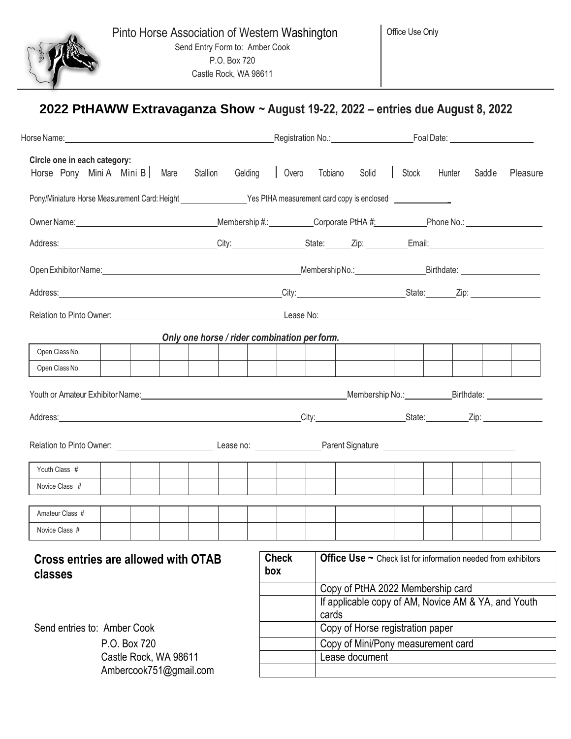

Office Use Only

|                                                                                                                                        |                        |          |         |                                              |                                    |                                  |  |       | Registration No.: Contract Contract Contract Contract Contract Contract Contract Contract Contract Contract Co |        |          |
|----------------------------------------------------------------------------------------------------------------------------------------|------------------------|----------|---------|----------------------------------------------|------------------------------------|----------------------------------|--|-------|----------------------------------------------------------------------------------------------------------------|--------|----------|
| Circle one in each category:<br>Horse Pony Mini A Mini B   Mare                                                                        |                        | Stallion | Gelding | Overo                                        | Tobiano                            | Solid                            |  | Stock | Hunter                                                                                                         | Saddle | Pleasure |
| Pony/Miniature Horse Measurement Card: Height _______________________Yes PtHA measurement card copy is enclosed ______________________ |                        |          |         |                                              |                                    |                                  |  |       |                                                                                                                |        |          |
|                                                                                                                                        |                        |          |         |                                              |                                    |                                  |  |       |                                                                                                                |        |          |
|                                                                                                                                        |                        |          |         |                                              |                                    |                                  |  |       |                                                                                                                |        |          |
|                                                                                                                                        |                        |          |         |                                              |                                    |                                  |  |       |                                                                                                                |        |          |
|                                                                                                                                        |                        |          |         |                                              |                                    |                                  |  |       |                                                                                                                |        |          |
|                                                                                                                                        |                        |          |         |                                              |                                    |                                  |  |       |                                                                                                                |        |          |
|                                                                                                                                        |                        |          |         | Only one horse / rider combination per form. |                                    |                                  |  |       |                                                                                                                |        |          |
| Open Class No.                                                                                                                         |                        |          |         |                                              |                                    |                                  |  |       |                                                                                                                |        |          |
| Open Class No.                                                                                                                         |                        |          |         |                                              |                                    |                                  |  |       |                                                                                                                |        |          |
|                                                                                                                                        |                        |          |         |                                              |                                    |                                  |  |       |                                                                                                                |        |          |
|                                                                                                                                        |                        |          |         |                                              |                                    |                                  |  |       |                                                                                                                |        |          |
|                                                                                                                                        |                        |          |         |                                              |                                    |                                  |  |       |                                                                                                                |        |          |
| Youth Class #                                                                                                                          |                        |          |         |                                              |                                    |                                  |  |       |                                                                                                                |        |          |
| Novice Class #                                                                                                                         |                        |          |         |                                              |                                    |                                  |  |       |                                                                                                                |        |          |
| Amateur Class #                                                                                                                        |                        |          |         |                                              |                                    |                                  |  |       |                                                                                                                |        |          |
| Novice Class #                                                                                                                         |                        |          |         |                                              |                                    |                                  |  |       |                                                                                                                |        |          |
| Cross entries are allowed with OTAB<br>classes                                                                                         |                        |          |         | <b>Check</b><br>box                          |                                    |                                  |  |       | <b>Office Use <math>\sim</math></b> Check list for information needed from exhibitors                          |        |          |
|                                                                                                                                        |                        |          |         |                                              | cards                              |                                  |  |       | Copy of PtHA 2022 Membership card<br>If applicable copy of AM, Novice AM & YA, and Youth                       |        |          |
| Send entries to: Amber Cook                                                                                                            |                        |          |         |                                              |                                    | Copy of Horse registration paper |  |       |                                                                                                                |        |          |
|                                                                                                                                        | P.O. Box 720           |          |         |                                              | Copy of Mini/Pony measurement card |                                  |  |       |                                                                                                                |        |          |
|                                                                                                                                        | Castle Rock, WA 98611  |          |         |                                              |                                    | Lease document                   |  |       |                                                                                                                |        |          |
|                                                                                                                                        | Ambercook751@gmail.com |          |         |                                              |                                    |                                  |  |       |                                                                                                                |        |          |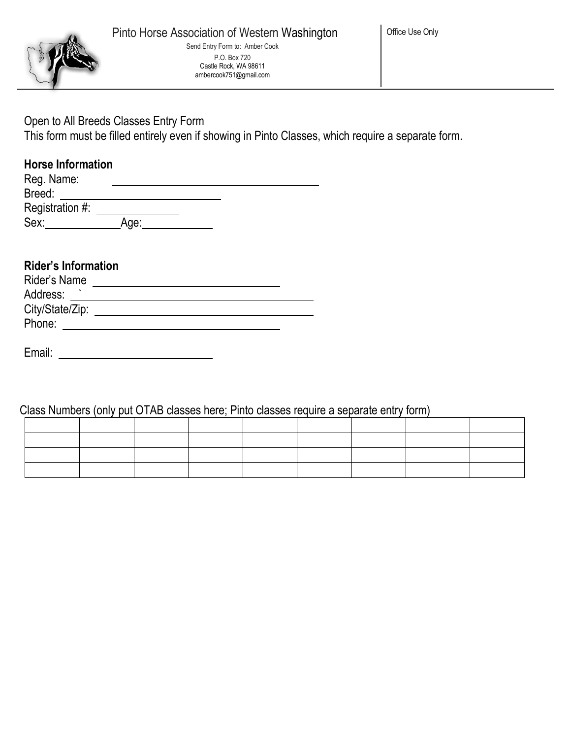

### Open to All Breeds Classes Entry Form

This form must be filled entirely even if showing in Pinto Classes, which require a separate form.

### **Horse Information**

| Reg. Name:      |      |  |  |
|-----------------|------|--|--|
| Breed:          |      |  |  |
| Registration #: |      |  |  |
| Sex:            | Age: |  |  |

# **Rider's Information**

| Rider's Name    |  |
|-----------------|--|
| Address:        |  |
| City/State/Zip: |  |
| Phone:          |  |
|                 |  |

Email:

Class Numbers (only put OTAB classes here; Pinto classes require a separate entry form)

|  | the contract of the contract of the contract of the contract of the contract of the contract of the contract of |  |  |  |
|--|-----------------------------------------------------------------------------------------------------------------|--|--|--|
|  |                                                                                                                 |  |  |  |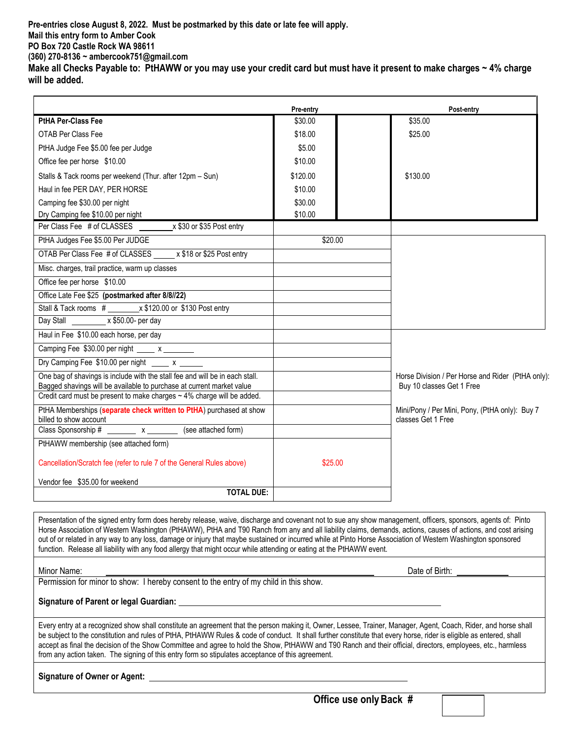**Pre-entries close August 8, 2022. Must be postmarked by this date or late fee will apply. Mail this entry form to Amber Cook PO Box 720 Castle Rock WA 98611 (360) 270-8136 ~ ambercook751@gmail.com Make all Checks Payable to: PtHAWW or you may use your credit card but must have it present to make charges ~ 4% charge**

**will be added.**

|                                                                                                                                                      | Pre-entry | Post-entry                                        |
|------------------------------------------------------------------------------------------------------------------------------------------------------|-----------|---------------------------------------------------|
| <b>PtHA Per-Class Fee</b>                                                                                                                            | \$30.00   | \$35.00                                           |
| OTAB Per Class Fee                                                                                                                                   | \$18.00   | \$25.00                                           |
| PtHA Judge Fee \$5.00 fee per Judge                                                                                                                  | \$5.00    |                                                   |
| Office fee per horse \$10.00                                                                                                                         | \$10.00   |                                                   |
| Stalls & Tack rooms per weekend (Thur. after 12pm - Sun)                                                                                             | \$120.00  | \$130.00                                          |
| Haul in fee PER DAY, PER HORSE                                                                                                                       | \$10.00   |                                                   |
| Camping fee \$30.00 per night                                                                                                                        | \$30.00   |                                                   |
| Dry Camping fee \$10.00 per night                                                                                                                    | \$10.00   |                                                   |
| Per Class Fee # of CLASSES x \$30 or \$35 Post entry                                                                                                 |           |                                                   |
| PtHA Judges Fee \$5.00 Per JUDGE                                                                                                                     | \$20.00   |                                                   |
| OTAB Per Class Fee # of CLASSES x \$18 or \$25 Post entry                                                                                            |           |                                                   |
| Misc. charges, trail practice, warm up classes                                                                                                       |           |                                                   |
| Office fee per horse \$10.00                                                                                                                         |           |                                                   |
| Office Late Fee \$25 (postmarked after 8/8//22)                                                                                                      |           |                                                   |
| Stall & Tack rooms # x \$120.00 or \$130 Post entry                                                                                                  |           |                                                   |
| Day Stall _________ x \$50.00- per day                                                                                                               |           |                                                   |
| Haul in Fee \$10.00 each horse, per day                                                                                                              |           |                                                   |
|                                                                                                                                                      |           |                                                   |
| Dry Camping Fee \$10.00 per night x                                                                                                                  |           |                                                   |
| One bag of shavings is include with the stall fee and will be in each stall.                                                                         |           | Horse Division / Per Horse and Rider (PtHA only): |
| Bagged shavings will be available to purchase at current market value<br>Credit card must be present to make charges $\sim$ 4% charge will be added. |           | Buy 10 classes Get 1 Free                         |
| PtHA Memberships (separate check written to PtHA) purchased at show                                                                                  |           | Mini/Pony / Per Mini, Pony, (PtHA only): Buy 7    |
|                                                                                                                                                      |           | classes Get 1 Free                                |
| billed to show account<br>Class Sponsorship # ________ x _______ (see attached form)                                                                 |           |                                                   |
| PtHAWW membership (see attached form)                                                                                                                |           |                                                   |
| Cancellation/Scratch fee (refer to rule 7 of the General Rules above)                                                                                | \$25.00   |                                                   |
| Vendor fee \$35,00 for weekend                                                                                                                       |           |                                                   |
| <b>TOTAL DUE:</b>                                                                                                                                    |           |                                                   |

Presentation of the signed entry form does hereby release, waive, discharge and covenant not to sue any show management, officers, sponsors, agents of: Pinto Horse Association of Western Washington (PtHAWW), PtHA and T90 Ranch from any and all liability claims, demands, actions, causes of actions, and cost arising out of or related in any way to any loss, damage or injury that maybe sustained or incurred while at Pinto Horse Association of Western Washington sponsored function. Release all liability with any food allergy that might occur while attending or eating at the PtHAWW event.

Minor Name: <u>Date of Birth: Date of Birth: Date of Birth: Date of Birth: Date of Birth:</u>

Permission for minor to show: I hereby consent to the entry of my child in this show.

#### **Signature of Parent or legal Guardian:**

Every entry at a recognized show shall constitute an agreement that the person making it, Owner, Lessee, Trainer, Manager, Agent, Coach, Rider, and horse shall be subject to the constitution and rules of PtHA, PtHAWW Rules & code of conduct. It shall further constitute that every horse, rider is eligible as entered, shall accept as final the decision of the Show Committee and agree to hold the Show, PtHAWW and T90 Ranch and their official, directors, employees, etc., harmless from any action taken. The signing of this entry form so stipulates acceptance of this agreement.

#### **Signature of Owner or Agent:**

**Office use onlyBack #**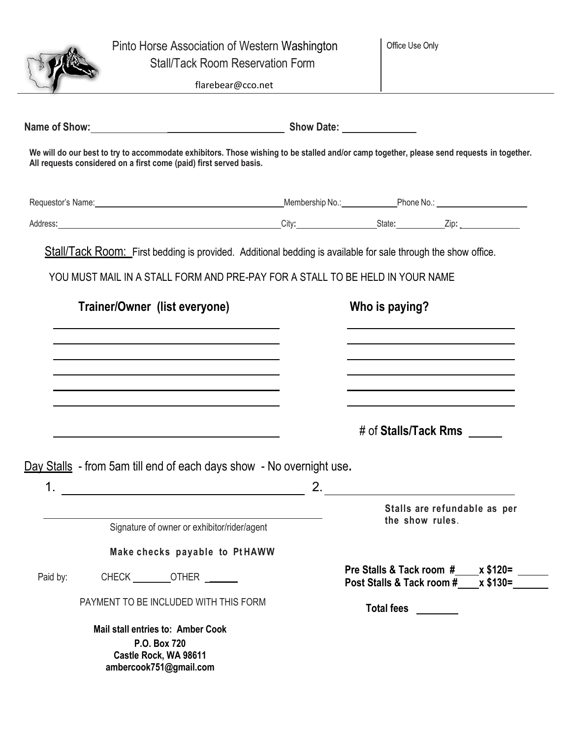|          | Pinto Horse Association of Western Washington<br><b>Stall/Tack Room Reservation Form</b>                                                                                                                                       |    | Office Use Only                                                                                                                           |
|----------|--------------------------------------------------------------------------------------------------------------------------------------------------------------------------------------------------------------------------------|----|-------------------------------------------------------------------------------------------------------------------------------------------|
|          | flarebear@cco.net                                                                                                                                                                                                              |    |                                                                                                                                           |
|          |                                                                                                                                                                                                                                |    |                                                                                                                                           |
|          | All requests considered on a first come (paid) first served basis.                                                                                                                                                             |    | We will do our best to try to accommodate exhibitors. Those wishing to be stalled and/or camp together, please send requests in together. |
|          | Requestor's Name: 1990 Contract Contract Contract Contract Contract Contract Contract Contract Contract Contract Contract Contract Contract Contract Contract Contract Contract Contract Contract Contract Contract Contract C |    |                                                                                                                                           |
|          |                                                                                                                                                                                                                                |    |                                                                                                                                           |
|          | <b>Stall/Tack Room:</b> First bedding is provided. Additional bedding is available for sale through the show office.                                                                                                           |    |                                                                                                                                           |
|          | YOU MUST MAIL IN A STALL FORM AND PRE-PAY FOR A STALL TO BE HELD IN YOUR NAME                                                                                                                                                  |    |                                                                                                                                           |
|          |                                                                                                                                                                                                                                |    |                                                                                                                                           |
|          | Trainer/Owner (list everyone)                                                                                                                                                                                                  |    | Who is paying?                                                                                                                            |
|          |                                                                                                                                                                                                                                |    |                                                                                                                                           |
|          |                                                                                                                                                                                                                                |    |                                                                                                                                           |
|          |                                                                                                                                                                                                                                |    |                                                                                                                                           |
|          |                                                                                                                                                                                                                                |    |                                                                                                                                           |
|          |                                                                                                                                                                                                                                |    | # of Stalls/Tack Rms                                                                                                                      |
|          |                                                                                                                                                                                                                                |    |                                                                                                                                           |
|          | Day Stalls - from 5am till end of each days show - No overnight use.                                                                                                                                                           |    |                                                                                                                                           |
| 1.       | <u> 1989 - Johann Stein, marwolaethau a bh</u>                                                                                                                                                                                 | 2. |                                                                                                                                           |
|          |                                                                                                                                                                                                                                |    | Stalls are refundable as per<br>the show rules.                                                                                           |
|          | Signature of owner or exhibitor/rider/agent                                                                                                                                                                                    |    |                                                                                                                                           |
|          | Make checks payable to PtHAWW                                                                                                                                                                                                  |    |                                                                                                                                           |
| Paid by: | CHECK OTHER                                                                                                                                                                                                                    |    | Pre Stalls & Tack room $\#$ $\times$ \$120=<br>Post Stalls & Tack room #____x \$130=_______                                               |
|          | PAYMENT TO BE INCLUDED WITH THIS FORM                                                                                                                                                                                          |    | <b>Total fees</b>                                                                                                                         |
|          | <b>Mail stall entries to: Amber Cook</b><br>P.O. Box 720<br>Castle Rock, WA 98611<br>ambercook751@gmail.com                                                                                                                    |    |                                                                                                                                           |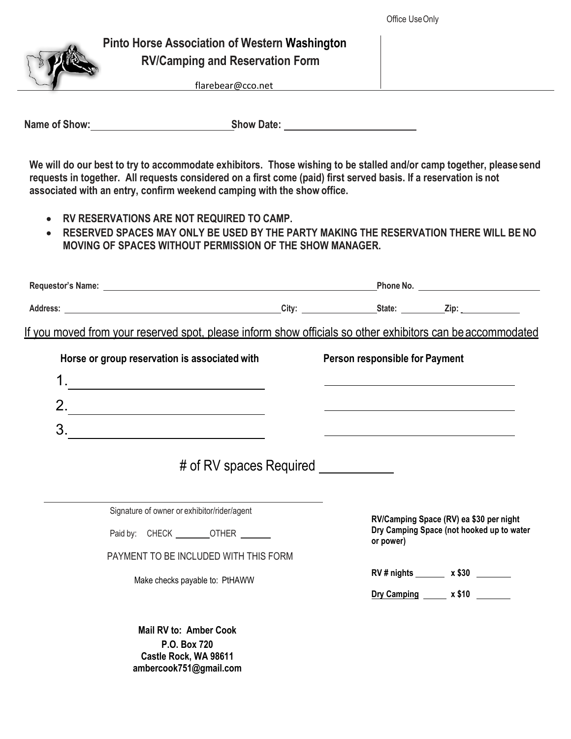

### **Pinto Horse Association of Western Washington RV/Camping and Reservation Form**

flarebear@cco.net

**Name of Show: Show Date:**

**We will do our best to try to accommodate exhibitors. Those wishing to be stalled and/or camp together, pleasesend requests in together. All requests considered on a first come (paid) first served basis. If a reservation is not associated with an entry, confirm weekend camping with the show office.**

- **RV RESERVATIONS ARE NOT REQUIRED TO CAMP.**
- **RESERVED SPACES MAY ONLY BE USED BY THE PARTY MAKING THE RESERVATION THERE WILL BE NO MOVING OF SPACES WITHOUT PERMISSION OF THE SHOW MANAGER.**

|                                                                                                            |                                      |                                                                     | Phone No. <u>___________________________</u> |
|------------------------------------------------------------------------------------------------------------|--------------------------------------|---------------------------------------------------------------------|----------------------------------------------|
|                                                                                                            |                                      |                                                                     |                                              |
| If you moved from your reserved spot, please inform show officials so other exhibitors can be accommodated |                                      |                                                                     |                                              |
| Horse or group reservation is associated with                                                              |                                      | Person responsible for Payment                                      |                                              |
| 1.                                                                                                         |                                      |                                                                     |                                              |
| $2. \underline{\hspace{2cm}}$                                                                              |                                      |                                                                     |                                              |
| 3.                                                                                                         |                                      | <u> 1989 - Andrea Stadt Britain, amerikansk politiker (</u> † 1908) |                                              |
|                                                                                                            | # of RV spaces Required ____________ |                                                                     |                                              |
| Signature of owner or exhibitor/rider/agent                                                                |                                      |                                                                     | RV/Camping Space (RV) ea \$30 per night      |
| Paid by: CHECK _________OTHER                                                                              |                                      | or power)                                                           | Dry Camping Space (not hooked up to water    |
| PAYMENT TO BE INCLUDED WITH THIS FORM                                                                      |                                      |                                                                     |                                              |
| Make checks payable to: PtHAWW                                                                             |                                      |                                                                     | RV # nights _______ x \$30 _______           |
|                                                                                                            |                                      |                                                                     | Dry Camping $\frac{1}{2}$ x \$10             |
| <b>Mail RV to: Amber Cook</b>                                                                              |                                      |                                                                     |                                              |

**P.O. Box 720 Castle Rock, WA 98611 ambercook751@gmail.com**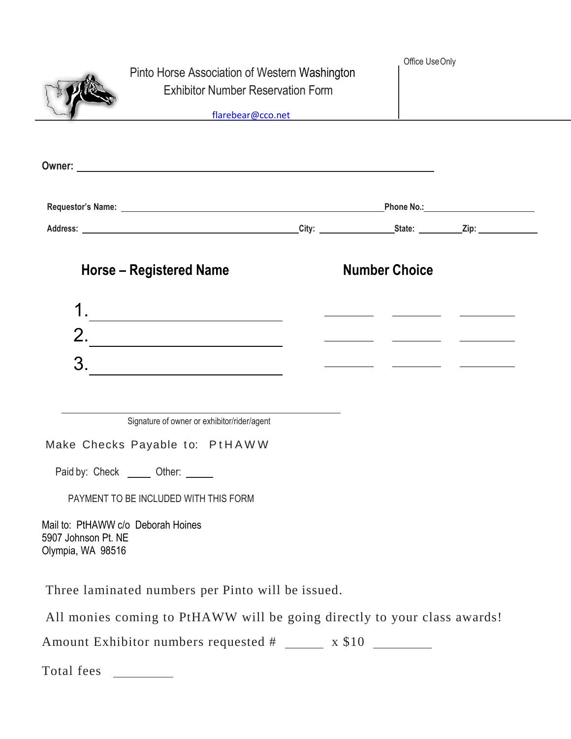|                                          | Pinto Horse Association of Western Washington<br><b>Exhibitor Number Reservation Form</b><br>and the state of the state of the state of the state of the state of the state of the state of the state of the | Office Use Only      |  |
|------------------------------------------|--------------------------------------------------------------------------------------------------------------------------------------------------------------------------------------------------------------|----------------------|--|
|                                          |                                                                                                                                                                                                              |                      |  |
|                                          |                                                                                                                                                                                                              |                      |  |
|                                          |                                                                                                                                                                                                              |                      |  |
|                                          | Horse – Registered Name                                                                                                                                                                                      | <b>Number Choice</b> |  |
|                                          | $\begin{array}{c}\n1. \\ \hline\n\end{array}$                                                                                                                                                                |                      |  |
|                                          | 2.                                                                                                                                                                                                           |                      |  |
|                                          | 3.                                                                                                                                                                                                           |                      |  |
|                                          |                                                                                                                                                                                                              |                      |  |
|                                          | Signature of owner or exhibitor/rider/agent                                                                                                                                                                  |                      |  |
|                                          | Make Checks Payable to: PtHAWW                                                                                                                                                                               |                      |  |
|                                          | Paid by: Check ______ Other: _____                                                                                                                                                                           |                      |  |
|                                          | PAYMENT TO BE INCLUDED WITH THIS FORM                                                                                                                                                                        |                      |  |
| 5907 Johnson Pt. NE<br>Olympia, WA 98516 | Mail to: PtHAWW c/o Deborah Hoines                                                                                                                                                                           |                      |  |
|                                          | Three laminated numbers per Pinto will be issued.                                                                                                                                                            |                      |  |
|                                          | All monies coming to PtHAWW will be going directly to your class awards!                                                                                                                                     |                      |  |
|                                          | Amount Exhibitor numbers requested # _______ x \$10 ________                                                                                                                                                 |                      |  |
| Total fees                               |                                                                                                                                                                                                              |                      |  |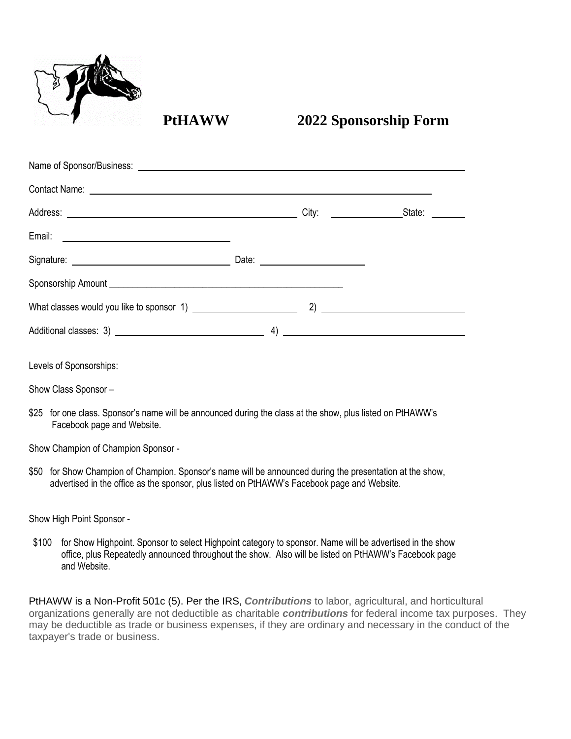

# **PtHAWW 2022 Sponsorship Form**

| Name of Sponsor/Business: 2008 and 2009 and 2009 and 2009 and 2009 and 2009 and 2009 and 2009 and 2009 and 200                                                                                                                      |                                      |                           |
|-------------------------------------------------------------------------------------------------------------------------------------------------------------------------------------------------------------------------------------|--------------------------------------|---------------------------|
| Contact Name: <u>experience</u> and the contract of the contract of the contract of the contract of the contract of the contract of the contract of the contract of the contract of the contract of the contract of the contract of |                                      |                           |
|                                                                                                                                                                                                                                     |                                      | City: <u>City: State:</u> |
|                                                                                                                                                                                                                                     |                                      |                           |
|                                                                                                                                                                                                                                     | Date: <u>_______________________</u> |                           |
|                                                                                                                                                                                                                                     |                                      |                           |
|                                                                                                                                                                                                                                     |                                      |                           |
|                                                                                                                                                                                                                                     |                                      | $\left(4\right)$          |
| Levels of Sponsorships:                                                                                                                                                                                                             |                                      |                           |
|                                                                                                                                                                                                                                     |                                      |                           |
| Show Class Sponsor -                                                                                                                                                                                                                |                                      |                           |

\$25 for one class. Sponsor's name will be announced during the class at the show, plus listed on PtHAWW's Facebook page and Website.

Show Champion of Champion Sponsor -

\$50 for Show Champion of Champion. Sponsor's name will be announced during the presentation at the show, advertised in the office as the sponsor, plus listed on PtHAWW's Facebook page and Website.

Show High Point Sponsor -

\$100 for Show Highpoint. Sponsor to select Highpoint category to sponsor. Name will be advertised in the show office, plus Repeatedly announced throughout the show. Also will be listed on PtHAWW's Facebook page and Website.

PtHAWW is a Non-Profit 501c (5). Per the IRS, *Contributions* to labor, agricultural, and horticultural organizations generally are not deductible as charitable *contributions* for federal income tax purposes. They may be deductible as trade or business expenses, if they are ordinary and necessary in the conduct of the taxpayer's trade or business.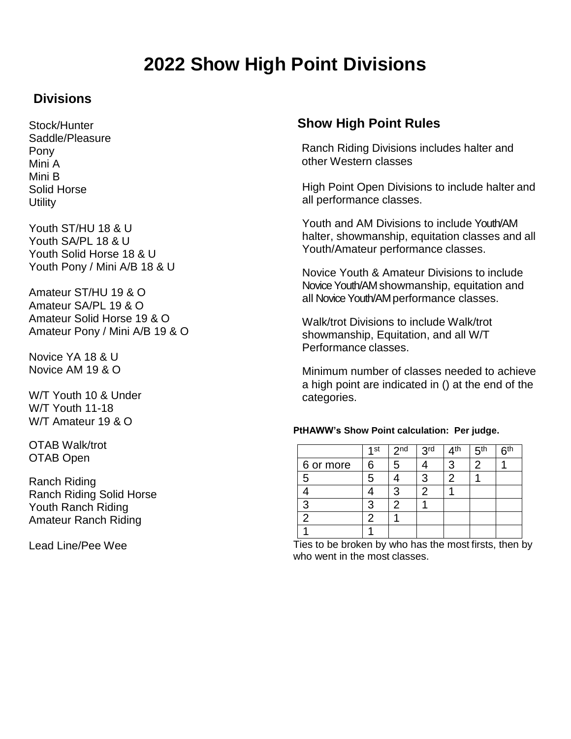# **2022 Show High Point Divisions**

## **Divisions**

Stock/Hunter Saddle/Pleasure Pony Mini A Mini B Solid Horse **Utility** 

Youth ST/HU 18 & U Youth SA/PL 18 & U Youth Solid Horse 18 & U Youth Pony / Mini A/B 18 & U

Amateur ST/HU 19 & O Amateur SA/PL 19 & O Amateur Solid Horse 19 & O Amateur Pony / Mini A/B 19 & O

Novice YA 18 & U Novice AM 19 & O

W/T Youth 10 & Under W/T Youth 11-18 W/T Amateur 19 & O

OTAB Walk/trot OTAB Open

Ranch Riding Ranch Riding Solid Horse Youth Ranch Riding Amateur Ranch Riding

Lead Line/Pee Wee

### **Show High Point Rules**

Ranch Riding Divisions includes halter and other Western classes

High Point Open Divisions to include halter and all performance classes.

Youth and AM Divisions to include Youth/AM halter, showmanship, equitation classes and all Youth/Amateur performance classes.

Novice Youth & Amateur Divisions to include Novice Youth/AM showmanship, equitation and all Novice Youth/AMperformance classes.

Walk/trot Divisions to include Walk/trot showmanship, Equitation, and all W/T Performance classes.

Minimum number of classes needed to achieve a high point are indicated in () at the end of the categories.

#### **PtHAWW's Show Point calculation: Per judge.**

|           | $1$ st | 2 <sub>nd</sub> | 3 <sup>rd</sup> | ⊿th | 5 <sup>th</sup> | <b>Rth</b> |
|-----------|--------|-----------------|-----------------|-----|-----------------|------------|
| 6 or more | 6      | 5               |                 | 3   | 2               |            |
| 5         | 5      |                 | 3               | 2   |                 |            |
|           |        | 3               | 2               |     |                 |            |
| 3         | 3      |                 |                 |     |                 |            |
| 2         |        |                 |                 |     |                 |            |
|           |        |                 |                 |     |                 |            |

Ties to be broken by who has the most firsts, then by who went in the most classes.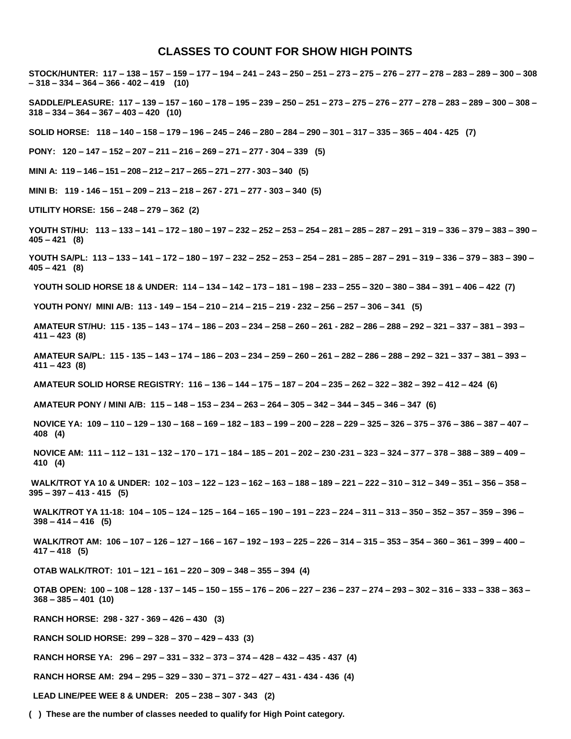#### **CLASSES TO COUNT FOR SHOW HIGH POINTS**

STOCK/HUNTER: 117 - 138 - 157 - 159 - 177 - 194 - 241 - 243 - 250 - 251 - 273 - 275 - 276 - 277 - 278 - 283 - 289 - 300 - 308 **– 318 – 334 – 364 – 366 - 402 – 419 (10)**

SADDLE/PLEASURE: 117 - 139 - 157 - 160 - 178 - 195 - 239 - 250 - 251 - 273 - 275 - 276 - 277 - 278 - 283 - 289 - 300 - 308 -**318 – 334 – 364 – 367 – 403 – 420 (10)**

SOLID HORSE: 118-140-158-179-196-245-246-280-284-290-301-317-335-365-404-425 (7)

**PONY: 120 – 147 – 152 – 207 – 211 – 216 – 269 – 271 – 277 - 304 – 339 (5)**

**MINI A: 119 – 146 – 151 – 208 – 212 – 217 – 265 – 271 – 277 - 303 – 340 (5)**

**MINI B: 119 - 146 – 151 – 209 – 213 – 218 – 267 - 271 – 277 - 303 – 340 (5)**

**UTILITY HORSE: 156 – 248 – 279 – 362 (2)**

YOUTH ST/HU: 113 - 133 - 141 - 172 - 180 - 197 - 232 - 252 - 253 - 254 - 281 - 285 - 287 - 291 - 319 - 336 - 379 - 383 - 390 -**405 – 421 (8)**

YOUTH SA/PL: 113 - 133 - 141 - 172 - 180 - 197 - 232 - 252 - 253 - 254 - 281 - 285 - 287 - 291 - 319 - 336 - 379 - 383 - 390 -**405 – 421 (8)**

YOUTH SOLID HORSE 18 & UNDER: 114 - 134 - 142 - 173 - 181 - 198 - 233 - 255 - 320 - 380 - 384 - 391 - 406 - 422 (7)

**YOUTH PONY/ MINI A/B: 113 - 149 – 154 – 210 – 214 – 215 – 219 - 232 – 256 – 257 – 306 – 341 (5)**

AMATEUR ST/HU: 115 - 135 - 143 - 174 - 186 - 203 - 234 - 258 - 260 - 261 - 282 - 286 - 288 - 292 - 321 - 337 - 381 - 393 -**411 – 423 (8)**

AMATEUR SA/PL: 115 - 135 - 143 - 174 - 186 - 203 - 234 - 259 - 260 - 261 - 282 - 286 - 288 - 292 - 321 - 337 - 381 - 393 -**411 – 423 (8)**

AMATEUR SOLID HORSE REGISTRY: 116 - 136 - 144 - 175 - 187 - 204 - 235 - 262 - 322 - 382 - 392 - 412 - 424 (6)

AMATEUR PONY / MINI A/B: 115 - 148 - 153 - 234 - 263 - 264 - 305 - 342 - 344 - 345 - 346 - 347 (6)

NOVICE YA: 109 - 110 - 129 - 130 - 168 - 169 - 182 - 183 - 199 - 200 - 228 - 229 - 325 - 326 - 375 - 376 - 386 - 387 - 407 -**408 (4)**

NOVICE AM: 111 - 112 - 131 - 132 - 170 - 171 - 184 - 185 - 201 - 202 - 230 - 231 - 323 - 324 - 377 - 378 - 388 - 389 - 409 -**410 (4)**

WALK/TROT YA 10 & UNDER: 102 - 103 - 122 - 123 - 162 - 163 - 188 - 189 - 221 - 222 - 310 - 312 - 349 - 351 - 356 - 358 -**395 – 397 – 413 - 415 (5)**

WALK/TROT YA 11-18: 104 - 105 - 124 - 125 - 164 - 165 - 190 - 191 - 223 - 224 - 311 - 313 - 350 - 352 - 357 - 359 - 396 -**398 – 414 – 416 (5)**

WALK/TROT AM: 106 - 107 - 126 - 127 - 166 - 167 - 192 - 193 - 225 - 226 - 314 - 315 - 353 - 354 - 360 - 361 - 399 - 400 -**417 – 418 (5)**

**OTAB WALK/TROT: 101 – 121 – 161 – 220 – 309 – 348 – 355 – 394 (4)**

OTAB OPEN: 100 - 108 - 128 - 137 - 145 - 150 - 155 - 176 - 206 - 227 - 236 - 237 - 274 - 293 - 302 - 316 - 333 - 338 - 363 -**368 – 385 – 401 (10)**

**RANCH HORSE: 298 - 327 - 369 – 426 – 430 (3)**

**RANCH SOLID HORSE: 299 – 328 – 370 – 429 – 433 (3)**

**RANCH HORSE YA: 296 – 297 – 331 – 332 – 373 – 374 – 428 – 432 – 435 - 437 (4)**

**RANCH HORSE AM: 294 – 295 – 329 – 330 – 371 – 372 – 427 – 431 - 434 - 436 (4)**

**LEAD LINE/PEE WEE 8 & UNDER: 205 – 238 – 307 - 343 (2)**

**( ) These are the number of classes needed to qualify for High Point category.**